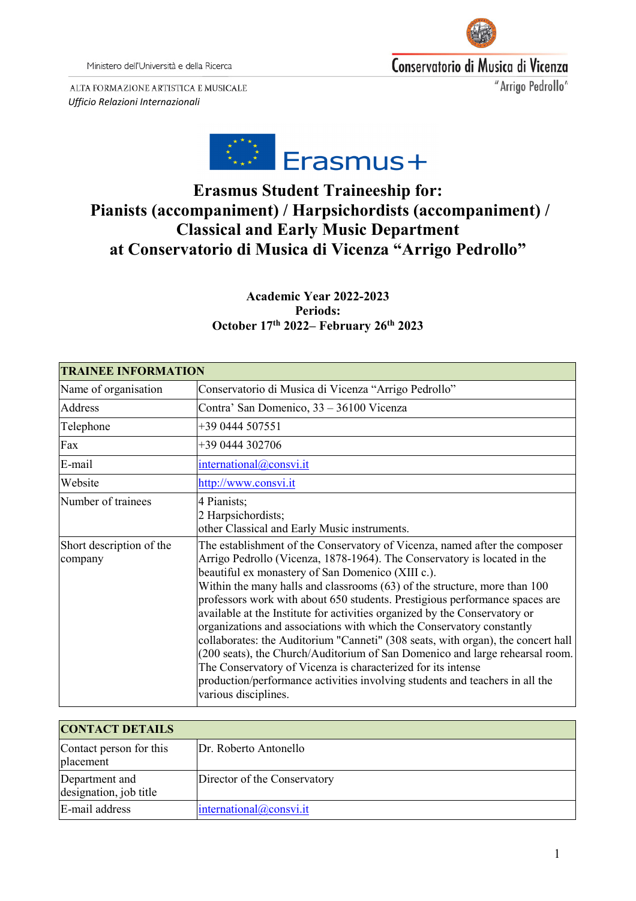Ministero dell'Università e della Ricerca



Conservatorio di Musica di Vicenza

"Arrigo Pedrollo"

ALTA FORMAZIONE ARTISTICA E MUSICALE *Ufficio Relazioni Internazionali*



# **Erasmus Student Traineeship for: Pianists (accompaniment) / Harpsichordists (accompaniment) / Classical and Early Music Department at Conservatorio di Musica di Vicenza "Arrigo Pedrollo"**

## **Academic Year 2022-2023 Periods: October 17th 2022– February 26th 2023**

| <b>TRAINEE INFORMATION</b>          |                                                                                                                                                                                                                                                                                                                                                                                                                                                                                                                                                                                                                                                                                                                                                                                                                                                                            |
|-------------------------------------|----------------------------------------------------------------------------------------------------------------------------------------------------------------------------------------------------------------------------------------------------------------------------------------------------------------------------------------------------------------------------------------------------------------------------------------------------------------------------------------------------------------------------------------------------------------------------------------------------------------------------------------------------------------------------------------------------------------------------------------------------------------------------------------------------------------------------------------------------------------------------|
| Name of organisation                | Conservatorio di Musica di Vicenza "Arrigo Pedrollo"                                                                                                                                                                                                                                                                                                                                                                                                                                                                                                                                                                                                                                                                                                                                                                                                                       |
| Address                             | Contra' San Domenico, 33 – 36100 Vicenza                                                                                                                                                                                                                                                                                                                                                                                                                                                                                                                                                                                                                                                                                                                                                                                                                                   |
| Telephone                           | +39 0444 507551                                                                                                                                                                                                                                                                                                                                                                                                                                                                                                                                                                                                                                                                                                                                                                                                                                                            |
| Fax                                 | +39 0444 302706                                                                                                                                                                                                                                                                                                                                                                                                                                                                                                                                                                                                                                                                                                                                                                                                                                                            |
| E-mail                              | international@consvi.it                                                                                                                                                                                                                                                                                                                                                                                                                                                                                                                                                                                                                                                                                                                                                                                                                                                    |
| Website                             | http://www.consvi.it                                                                                                                                                                                                                                                                                                                                                                                                                                                                                                                                                                                                                                                                                                                                                                                                                                                       |
| Number of trainees                  | 4 Pianists;<br>2 Harpsichordists;<br>other Classical and Early Music instruments.                                                                                                                                                                                                                                                                                                                                                                                                                                                                                                                                                                                                                                                                                                                                                                                          |
| Short description of the<br>company | The establishment of the Conservatory of Vicenza, named after the composer<br>Arrigo Pedrollo (Vicenza, 1878-1964). The Conservatory is located in the<br>beautiful ex monastery of San Domenico (XIII c.).<br>Within the many halls and classrooms (63) of the structure, more than 100<br>professors work with about 650 students. Prestigious performance spaces are<br>available at the Institute for activities organized by the Conservatory or<br>organizations and associations with which the Conservatory constantly<br>collaborates: the Auditorium "Canneti" (308 seats, with organ), the concert hall<br>(200 seats), the Church/Auditorium of San Domenico and large rehearsal room.<br>The Conservatory of Vicenza is characterized for its intense<br>production/performance activities involving students and teachers in all the<br>various disciplines. |

| <b>CONTACT DETAILS</b>                   |                              |
|------------------------------------------|------------------------------|
| Contact person for this<br>placement     | Dr. Roberto Antonello        |
| Department and<br>designation, job title | Director of the Conservatory |
| E-mail address                           | intermational@consvi.it      |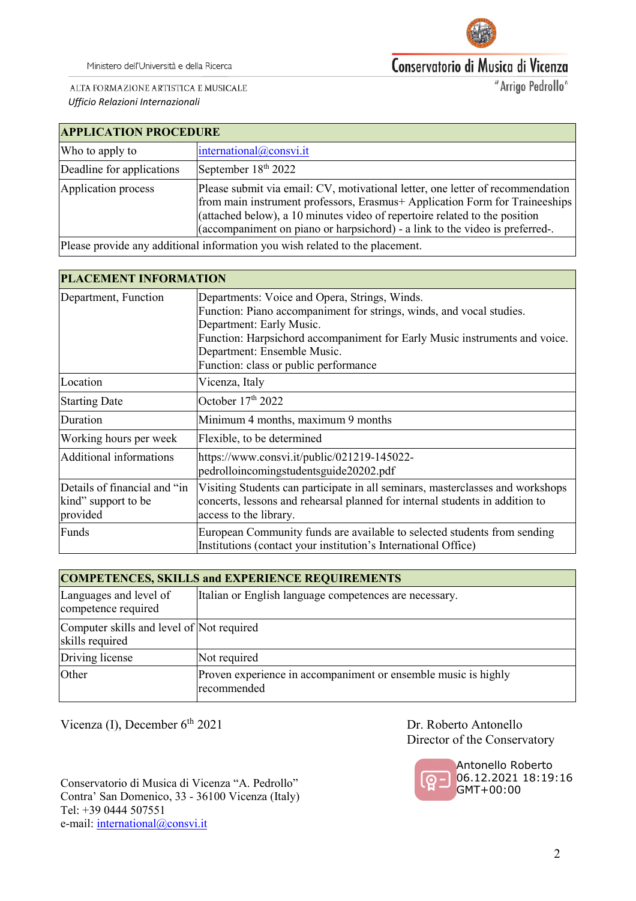

Ministero dell'Università e della Ricerca

# Conservatorio di Musica di Vicenza

ALTA FORMAZIONE ARTISTICA E MUSICALE *Ufficio Relazioni Internazionali*

"Arrigo Pedrollo"

| <b>APPLICATION PROCEDURE</b> |                                                                                                                                                                                                                                                                                                                             |  |  |  |
|------------------------------|-----------------------------------------------------------------------------------------------------------------------------------------------------------------------------------------------------------------------------------------------------------------------------------------------------------------------------|--|--|--|
| Who to apply to              | international@consvi.it                                                                                                                                                                                                                                                                                                     |  |  |  |
| Deadline for applications    | September 18 <sup>th</sup> 2022                                                                                                                                                                                                                                                                                             |  |  |  |
| Application process          | Please submit via email: CV, motivational letter, one letter of recommendation<br>from main instrument professors, Erasmus+ Application Form for Traineeships<br>(attached below), a 10 minutes video of repertoire related to the position<br>(accompaniment on piano or harpsichord) - a link to the video is preferred-. |  |  |  |
|                              | Dlease provide any additional information you wish related to the placement                                                                                                                                                                                                                                                 |  |  |  |

Please provide any additional information you wish related to the placement.

| <b>PLACEMENT INFORMATION</b>                                    |                                                                                                                                                                                                                                                                                                         |  |  |  |
|-----------------------------------------------------------------|---------------------------------------------------------------------------------------------------------------------------------------------------------------------------------------------------------------------------------------------------------------------------------------------------------|--|--|--|
| Department, Function                                            | Departments: Voice and Opera, Strings, Winds.<br>Function: Piano accompaniment for strings, winds, and vocal studies.<br>Department: Early Music.<br>Function: Harpsichord accompaniment for Early Music instruments and voice.<br>Department: Ensemble Music.<br>Function: class or public performance |  |  |  |
| Location                                                        | Vicenza, Italy                                                                                                                                                                                                                                                                                          |  |  |  |
| <b>Starting Date</b>                                            | October 17th 2022                                                                                                                                                                                                                                                                                       |  |  |  |
| Duration                                                        | Minimum 4 months, maximum 9 months                                                                                                                                                                                                                                                                      |  |  |  |
| Working hours per week                                          | Flexible, to be determined                                                                                                                                                                                                                                                                              |  |  |  |
| Additional informations                                         | https://www.consvi.it/public/021219-145022-<br>pedrolloincomingstudentsguide20202.pdf                                                                                                                                                                                                                   |  |  |  |
| Details of financial and "in<br>kind" support to be<br>provided | Visiting Students can participate in all seminars, masterclasses and workshops<br>concerts, lessons and rehearsal planned for internal students in addition to<br>access to the library.                                                                                                                |  |  |  |
| Funds                                                           | European Community funds are available to selected students from sending<br>Institutions (contact your institution's International Office)                                                                                                                                                              |  |  |  |

| <b>COMPETENCES, SKILLS and EXPERIENCE REQUIREMENTS</b>       |                                                                               |  |  |  |  |  |
|--------------------------------------------------------------|-------------------------------------------------------------------------------|--|--|--|--|--|
| Languages and level of<br>competence required                | Italian or English language competences are necessary.                        |  |  |  |  |  |
| Computer skills and level of Not required<br>skills required |                                                                               |  |  |  |  |  |
| Driving license                                              | Not required                                                                  |  |  |  |  |  |
| Other                                                        | Proven experience in accompaniment or ensemble music is highly<br>recommended |  |  |  |  |  |

Vicenza (I), December 6<sup>th</sup> 2021 Dr. Roberto Antonello

Conservatorio di Musica di Vicenza "A. Pedrollo" Contra' San Domenico, 33 - 36100 Vicenza (Italy) Tel: +39 0444 507551 e-mail: [international@consvi.it](mailto:international@consvi.it)

Director of the Conservatory

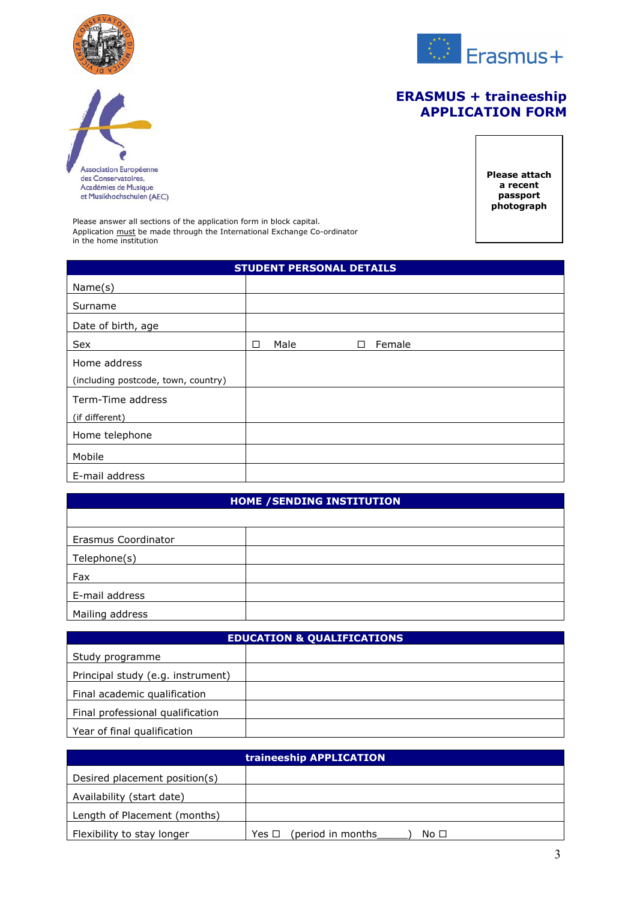

Association Européenne<br>des Conservatoires,<br>Académies de Musique<br>et Musikhochschulen (AEC)



# **ERASMUS + traineeship APPLICATION FORM**

**Please attach a recent passport photograph**

Please answer all sections of the application form in block capital. Application must be made through the International Exchange Co-ordinator in the home institution

| <b>STUDENT PERSONAL DETAILS</b>     |   |      |  |   |        |
|-------------------------------------|---|------|--|---|--------|
| Name(s)                             |   |      |  |   |        |
| Surname                             |   |      |  |   |        |
| Date of birth, age                  |   |      |  |   |        |
| Sex                                 | □ | Male |  | П | Female |
| Home address                        |   |      |  |   |        |
| (including postcode, town, country) |   |      |  |   |        |
| Term-Time address                   |   |      |  |   |        |
| (if different)                      |   |      |  |   |        |
| Home telephone                      |   |      |  |   |        |
| Mobile                              |   |      |  |   |        |
| E-mail address                      |   |      |  |   |        |

### **HOME /SENDING INSTITUTION**

| Erasmus Coordinator |  |
|---------------------|--|
| Telephone(s)        |  |
| Fax                 |  |
| E-mail address      |  |
| Mailing address     |  |

| <b>EDUCATION &amp; QUALIFICATIONS</b> |  |  |  |  |
|---------------------------------------|--|--|--|--|
| Study programme                       |  |  |  |  |
| Principal study (e.g. instrument)     |  |  |  |  |
| Final academic qualification          |  |  |  |  |
| Final professional qualification      |  |  |  |  |
| Year of final qualification           |  |  |  |  |

| traineeship APPLICATION       |                                            |  |  |  |  |
|-------------------------------|--------------------------------------------|--|--|--|--|
| Desired placement position(s) |                                            |  |  |  |  |
| Availability (start date)     |                                            |  |  |  |  |
| Length of Placement (months)  |                                            |  |  |  |  |
| Flexibility to stay longer    | (period in months<br>Yes □<br>No $\square$ |  |  |  |  |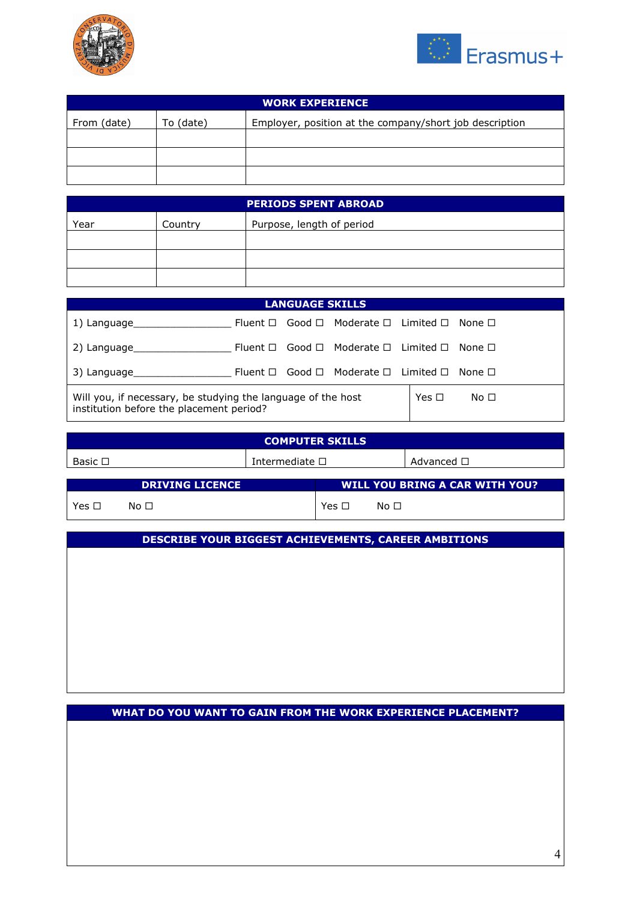



| <b>WORK EXPERIENCE</b>                                                              |  |  |  |  |  |  |
|-------------------------------------------------------------------------------------|--|--|--|--|--|--|
| From (date)<br>Employer, position at the company/short job description<br>To (date) |  |  |  |  |  |  |
|                                                                                     |  |  |  |  |  |  |
|                                                                                     |  |  |  |  |  |  |
|                                                                                     |  |  |  |  |  |  |

| <b>PERIODS SPENT ABROAD</b> |         |                           |  |  |  |
|-----------------------------|---------|---------------------------|--|--|--|
| Year                        | Country | Purpose, length of period |  |  |  |
|                             |         |                           |  |  |  |
|                             |         |                           |  |  |  |
|                             |         |                           |  |  |  |

| <b>LANGUAGE SKILLS</b>                                                                                   |  |  |                                                                      |  |            |      |  |  |
|----------------------------------------------------------------------------------------------------------|--|--|----------------------------------------------------------------------|--|------------|------|--|--|
| 1) Language                                                                                              |  |  | Fluent $\Box$ Good $\Box$ Moderate $\Box$ Limited $\Box$ None $\Box$ |  |            |      |  |  |
| 2) Language                                                                                              |  |  | Fluent $\Box$ Good $\Box$ Moderate $\Box$ Limited $\Box$ None $\Box$ |  |            |      |  |  |
| Fluent $\Box$ Good $\Box$ Moderate $\Box$ Limited $\Box$ None $\Box$<br>3) Language                      |  |  |                                                                      |  |            |      |  |  |
| Will you, if necessary, be studying the language of the host<br>institution before the placement period? |  |  |                                                                      |  | Yes $\Box$ | No □ |  |  |

| <b>COMPUTER SKILLS</b> |           |                        |                                |           |                    |  |  |
|------------------------|-----------|------------------------|--------------------------------|-----------|--------------------|--|--|
| Basic $\Box$           |           | Intermediate $\square$ |                                |           | Advanced $\square$ |  |  |
|                        |           |                        |                                |           |                    |  |  |
| <b>DRIVING LICENCE</b> |           |                        | WILL YOU BRING A CAR WITH YOU? |           |                    |  |  |
| Yes □                  | No $\Box$ |                        | Yes $\Box$                     | No $\Box$ |                    |  |  |

**DESCRIBE YOUR BIGGEST ACHIEVEMENTS, CAREER AMBITIONS** 

**WHAT DO YOU WANT TO GAIN FROM THE WORK EXPERIENCE PLACEMENT?**